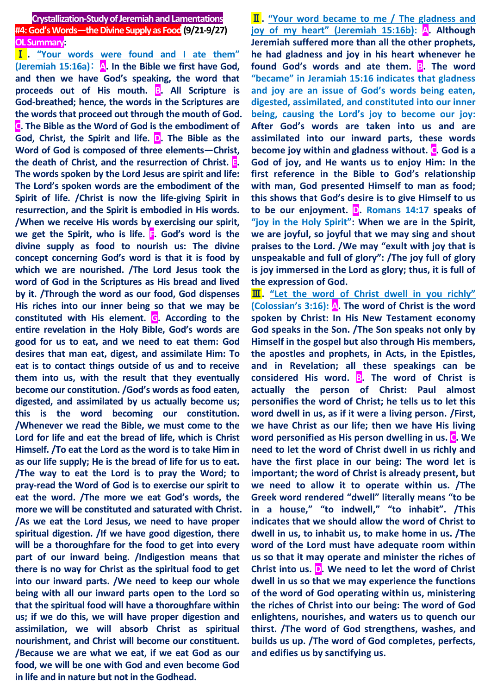**Crystallization-Study of Jeremiah and Lamentations #4: God's Words—the Divine Supply as Food(9/21-9/27) OL Summary:**

Ⅰ **. "Your words were found and I ate them" (Jeremiah 15:16a)**: **A. In the Bible we first have God, and then we have God's speaking, the word that proceeds out of His mouth. B. All Scripture is God-breathed; hence, the words in the Scriptures are the words that proceed out through the mouth of God. C. The Bible as the Word of God is the embodiment of God, Christ, the Spirit and life. D. The Bible as the Word of God is composed of three elements—Christ, the death of Christ, and the resurrection of Christ. E. The words spoken by the Lord Jesus are spirit and life: The Lord's spoken words are the embodiment of the Spirit of life. /Christ is now the life-giving Spirit in resurrection, and the Spirit is embodied in His words. /When we receive His words by exercising our spirit, we get the Spirit, who is life. F. God's word is the divine supply as food to nourish us: The divine concept concerning God's word is that it is food by which we are nourished. /The Lord Jesus took the word of God in the Scriptures as His bread and lived by it. /Through the word as our food, God dispenses His riches into our inner being so that we may be constituted with His element. G. According to the entire revelation in the Holy Bible, God's words are good for us to eat, and we need to eat them: God desires that man eat, digest, and assimilate Him: To eat is to contact things outside of us and to receive them into us, with the result that they eventually become our constitution. /God's words as food eaten, digested, and assimilated by us actually become us; this is the word becoming our constitution. /Whenever we read the Bible, we must come to the Lord for life and eat the bread of life, which is Christ Himself. /To eat the Lord as the word is to take Him in as our life supply; He is the bread of life for us to eat. /The way to eat the Lord is to pray the Word; to pray-read the Word of God is to exercise our spirit to eat the word. /The more we eat God's words, the more we will be constituted and saturated with Christ. /As we eat the Lord Jesus, we need to have proper spiritual digestion. /If we have good digestion, there will be a thoroughfare for the food to get into every part of our inward being. /Indigestion means that there is no way for Christ as the spiritual food to get into our inward parts. /We need to keep our whole being with all our inward parts open to the Lord so that the spiritual food will have a thoroughfare within us; if we do this, we will have proper digestion and assimilation, we will absorb Christ as spiritual nourishment, and Christ will become our constituent. /Because we are what we eat, if we eat God as our food, we will be one with God and even become God in life and in nature but not in the Godhead.**

Ⅱ**. "Your word became to me / The gladness and joy of my heart" (Jeremiah 15:16b): A. Although Jeremiah suffered more than all the other prophets, he had gladness and joy in his heart whenever he**  found God's words and ate them. **B**. The word **"became" in Jeramiah 15:16 indicates that gladness and joy are an issue of God's words being eaten, digested, assimilated, and constituted into our inner being, causing the Lord's joy to become our joy: After God's words are taken into us and are assimilated into our inward parts, these words become joy within and gladness without. C. God is a God of joy, and He wants us to enjoy Him: In the first reference in the Bible to God's relationship with man, God presented Himself to man as food; this shows that God's desire is to give Himself to us to be our enjoyment. D. Romans 14:17 speaks of "joy in the Holy Spirit": When we are in the Spirit, we are joyful, so joyful that we may sing and shout praises to the Lord. /We may "exult with joy that is unspeakable and full of glory": /The joy full of glory is joy immersed in the Lord as glory; thus, it is full of the expression of God.**

Ⅲ**. "Let the word of Christ dwell in you richly" (Colossian's 3:16): A. The word of Christ is the word spoken by Christ: In His New Testament economy God speaks in the Son. /The Son speaks not only by Himself in the gospel but also through His members, the apostles and prophets, in Acts, in the Epistles, and in Revelation; all these speakings can be considered His word. B. The word of Christ is actually the person of Christ: Paul almost personifies the word of Christ; he tells us to let this word dwell in us, as if it were a living person. /First, we have Christ as our life; then we have His living word personified as His person dwelling in us. C. We need to let the word of Christ dwell in us richly and have the first place in our being: The word let is important; the word of Christ is already present, but we need to allow it to operate within us. /The Greek word rendered "dwell" literally means "to be in a house," "to indwell," "to inhabit". /This indicates that we should allow the word of Christ to dwell in us, to inhabit us, to make home in us. /The word of the Lord must have adequate room within us so that it may operate and minister the riches of Christ into us. D. We need to let the word of Christ dwell in us so that we may experience the functions of the word of God operating within us, ministering the riches of Christ into our being: The word of God enlightens, nourishes, and waters us to quench our thirst. /The word of God strengthens, washes, and builds us up. /The word of God completes, perfects, and edifies us by sanctifying us.**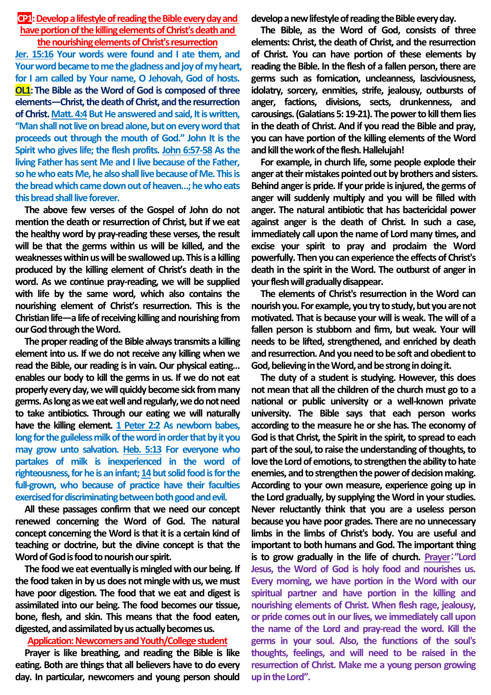### **CP1:** Develop a lifestyle of reading the Bible every day and **have portion of the killing elements of Christ's death and the nourishing elements of Christ's resurrection**

**Jer. 15:16 Your words were found and I ate them, and Your word became to me the gladness and joy of my heart, for I am called by Your name, O Jehovah, God of hosts. OL1:The Bible as the Word of God is composed of three elements—Christ, the death of Christ, and the resurrection**  of Christ. Matt. 4:4 But He answered and said, It is written, **"Man shall not live onbread alone, but on every word that proceeds out through the mouth of God." John It is the Spirit who gives life; the flesh profits. John 6:57-58 As the living Father has sent Me and I live because of the Father, so he who eats Me, he also shall live because of Me. This is the bread which came down out of heaven…; he who eats this bread shall live forever.**

**The above few verses of the Gospel of John do not mention the death or resurrection of Christ, but if we eat the healthy word by pray-reading these verses, the result will be that the germs within us will be killed, and the weaknesses within us will be swallowed up. This is a killing produced by the killing element of Christ's death in the word. As we continue pray-reading, we will be supplied with life by the same word, which also contains the nourishing element of Christ's resurrection. This is the Christian life—a life of receiving killing and nourishing from our God through the Word.**

**The proper reading of the Bible always transmits a killing element into us. If we do not receive any killing when we read the Bible, our reading is in vain. Our physical eating… enables our body to kill the germs in us. If we do not eat properly every day,we will quickly become sick from many germs. As long as we eat well and regularly, we do not need to take antibiotics. Through our eating we will naturally have the killing element. 1 Peter 2:2 As newborn babes, long for the guileless milk of the word in order that by it you may grow unto salvation. Heb. 5:13 For everyone who partakes of milk is inexperienced in the word of**  righteousness, for he is an infant; 14 but solid food is for the **full-grown, who because of practice have their faculties exercised for discriminating between both good and evil.**

**All these passages confirm that we need our concept renewed concerning the Word of God. The natural concept concerning the Word is that it is a certain kind of teaching or doctrine, but the divine concept is that the Word of God is food to nourish our spirit.**

**The food we eat eventually is mingled with our being. If the food taken in by us does not mingle with us, we must have poor digestion. The food that we eat and digest is assimilated into our being. The food becomes our tissue, bone, flesh, and skin. This means that the food eaten, digested, and assimilated by us actually becomes us.** 

#### **Application: Newcomers and Youth/College student**

**Prayer is like breathing, and reading the Bible is like eating. Both are things that all believers have to do every day. In particular, newcomers and young person should** 

**develop a new lifestyle of reading the Bible every day.**

**The Bible, as the Word of God, consists of three elements: Christ, the death of Christ, and the resurrection of Christ. You can have portion of these elements by reading the Bible. In the flesh of a fallen person, there are germs such as fornication, uncleanness, lasciviousness, idolatry, sorcery, enmities, strife, jealousy, outbursts of anger, factions, divisions, sects, drunkenness, and carousings. (Galatians 5: 19-21). The power to kill them lies in the death of Christ. And if you read the Bible and pray, you can have portion of the killing elements of the Word and kill the work of the flesh. Hallelujah!**

**For example, in church life, some people explode their anger at their mistakes pointed out by brothers and sisters. Behind anger is pride. If your pride is injured, the germs of anger will suddenly multiply and you will be filled with anger. The natural antibiotic that has bactericidal power against anger is the death of Christ. In such a case, immediately call upon the name of Lord many times, and excise your spirit to pray and proclaim the Word powerfully. Then you can experience the effects of Christ's death in the spirit in the Word. The outburst of anger in your flesh will gradually disappear.** 

**The elements of Christ's resurrection in the Word can nourish you. For example, you try to study, but you are not motivated. That is because your will is weak. The will of a fallen person is stubborn and firm, but weak. Your will needs to be lifted, strengthened, and enriched by death and resurrection. And you need to be soft and obedient to God, believing in the Word, and be strong in doing it.**

**The duty of a student is studying. However, this does not mean that all the children of the church must go to a national or public university or a well-known private university. The Bible says that each person works according to the measure he or she has. The economy of God is that Christ, the Spirit in the spirit, to spread to each part of the soul, to raise the understanding of thoughts, to love the Lord of emotions, to strengthen the ability to hate enemies, and to strengthen the power of decision making. According to your own measure, experience going up in the Lord gradually, by supplying the Word in your studies. Never reluctantly think that you are a useless person because you have poor grades. There are no unnecessary limbs in the limbs of Christ's body. You are useful and important to both humans and God. The important thing is to grow gradually in the life of church. Prayer**:**"Lord Jesus, the Word of God is holy food and nourishes us. Every morning, we have portion in the Word with our spiritual partner and have portion in the killing and nourishing elements of Christ. When flesh rage, jealousy, or pride comes out in our lives, we immediately call upon the name of the Lord and pray-read the word. Kill the germs in your soul. Also, the functions of the soul's thoughts, feelings, and will need to be raised in the resurrection of Christ. Make me a young person growing up in the Lord".**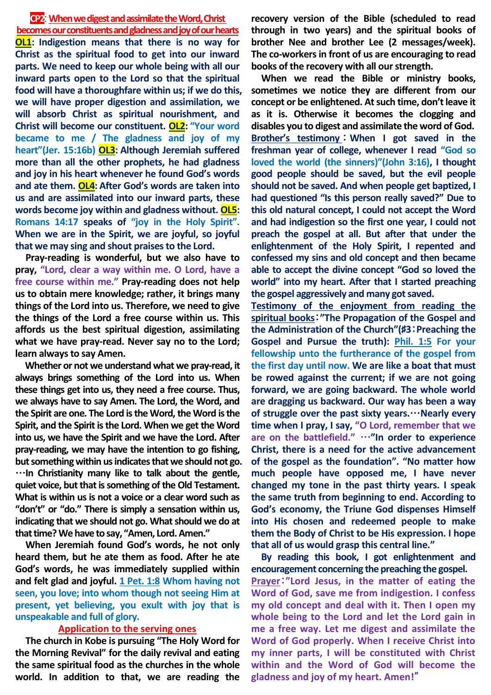#### **CP2**: **When we digest and assimilate the Word, Christ**

**becomes our constituents and gladness and joy of our hearts OL1: Indigestion means that there is no way for Christ as the spiritual food to get into our inward parts. We need to keep our whole being with all our inward parts open to the Lord so that the spiritual food will have a thoroughfare within us; if we do this, we will have proper digestion and assimilation, we will absorb Christ as spiritual nourishment, and Christ will become our constituent. OL2: "Your word became to me / The gladness and joy of my heart"(Jer. 15:16b) OL3: Although Jeremiah suffered more than all the other prophets, he had gladness and joy in his heart whenever he found God's words and ate them. OL4: After God's words are taken into us and are assimilated into our inward parts, these words become joy within and gladness without. OL5: Romans 14:17 speaks of "joy in the Holy Spirit". When we are in the Spirit, we are joyful, so joyful that we may sing and shout praises to the Lord.** 

**Pray-reading is wonderful, but we also have to pray, "Lord, clear a way within me. O Lord, have a free course within me." Pray-reading does not help us to obtain mere knowledge; rather, it brings many things of the Lord into us. Therefore, we need to give the things of the Lord a free course within us. This affords us the best spiritual digestion, assimilating what we have pray-read. Never say no to the Lord; learn always to say Amen.**

**Whether or not we understand what we pray-read, it always brings something of the Lord into us. When these things get into us, they need a free course. Thus, we always have to say Amen. The Lord, the Word, and the Spirit are one. The Lord is the Word, the Word is the Spirit, and the Spirit is the Lord. When we get the Word into us, we have the Spirit and we have the Lord. After pray-reading, we may have the intention to go fishing, but something within us indicates that we should not go.** …**In Christianity many like to talk about the gentle, quiet voice, but that is something of the Old Testament. What is within us is not a voice or a clear word such as "don't" or "do." There is simply a sensation within us, indicating that we should not go. What should we do at that time? We have to say, "Amen, Lord. Amen."**

**When Jeremiah found God's words, he not only heard them, but he ate them as food. After he ate God's words, he was immediately supplied within**  and felt glad and joyful. 1 Pet. 1:8 Whom having not **seen, you love; into whom though not seeing Him at present, yet believing, you exult with joy that is unspeakable and full of glory.**

# **Application to the serving ones**

**The church in Kobe is pursuing "The Holy Word for the Morning Revival" for the daily revival and eating the same spiritual food as the churches in the whole world. In addition to that, we are reading the** 

**recovery version of the Bible (scheduled to read through in two years) and the spiritual books of brother Nee and brother Lee (2 messages/week). The co-workers in front of us are encouraging to read books of the recovery with all our strength.** 

**When we read the Bible or ministry books, sometimes we notice they are different from our concept or be enlightened. At such time, don't leave it as it is. Otherwise it becomes the clogging and disables you to digest and assimilate the word of God. Brother's testimony** : **When I got saved in the freshman year of college, whenever I read "God so loved the world (the sinners)"(John 3:16), I thought good people should be saved, but the evil people should not be saved. And when people get baptized, I had questioned "Is this person really saved?" Due to this old natural concept, I could not accept the Word and had indigestion so the first one year, I could not preach the gospel at all. But after that under the enlightenment of the Holy Spirit, I repented and confessed my sins and old concept and then became able to accept the divine concept "God so loved the world" into my heart. After that I started preaching the gospel aggressively and many got saved.** 

**Testimony of the enjoyment from reading the spiritual books**:**"The Propagation of the Gospel and the Administration of the Church"(**♯**3**:**Preaching the Gospel and Pursue the truth): Phil. 1:5 For your fellowship unto the furtherance of the gospel from the first day until now. We are like a boat that must be rowed against the current; if we are not going forward, we are going backward. The whole world are dragging us backward. Our way has been a way of struggle over the past sixty years.**…**Nearly every time when I pray, I say, "O Lord, remember that we are on the battlefield."** …**"In order to experience Christ, there is a need for the active advancement of the gospel as the foundation". "No matter how much people have opposed me, I have never changed my tone in the past thirty years. I speak the same truth from beginning to end. According to God's economy, the Triune God dispenses Himself into His chosen and redeemed people to make them the Body of Christ to be His expression. I hope that all of us would grasp this central line."**

**By reading this book, I got enlightenment and encouragement concerning the preaching the gospel. Prayer**:**"Lord Jesus, in the matter of eating the Word of God, save me from indigestion. I confess my old concept and deal with it. Then I open my whole being to the Lord and let the Lord gain in me a free way. Let me digest and assimilate the Word of God properly. When I receive Christ into my inner parts, I will be constituted with Christ within and the Word of God will become the gladness and joy of my heart. Amen!**"